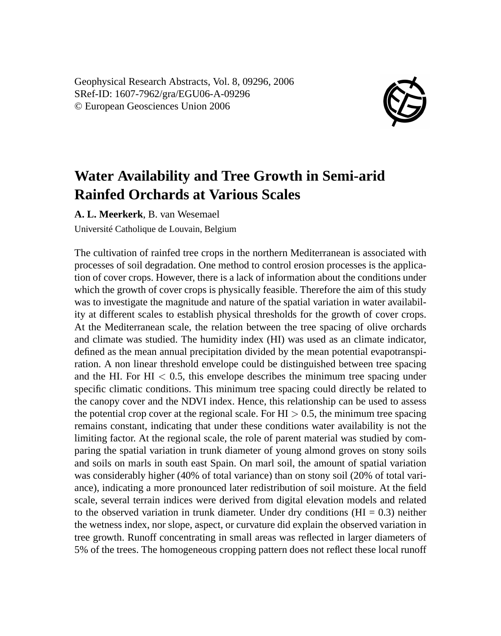Geophysical Research Abstracts, Vol. 8, 09296, 2006 SRef-ID: 1607-7962/gra/EGU06-A-09296 © European Geosciences Union 2006



## **Water Availability and Tree Growth in Semi-arid Rainfed Orchards at Various Scales**

**A. L. Meerkerk**, B. van Wesemael

Université Catholique de Louvain, Belgium

The cultivation of rainfed tree crops in the northern Mediterranean is associated with processes of soil degradation. One method to control erosion processes is the application of cover crops. However, there is a lack of information about the conditions under which the growth of cover crops is physically feasible. Therefore the aim of this study was to investigate the magnitude and nature of the spatial variation in water availability at different scales to establish physical thresholds for the growth of cover crops. At the Mediterranean scale, the relation between the tree spacing of olive orchards and climate was studied. The humidity index (HI) was used as an climate indicator, defined as the mean annual precipitation divided by the mean potential evapotranspiration. A non linear threshold envelope could be distinguished between tree spacing and the HI. For HI  $< 0.5$ , this envelope describes the minimum tree spacing under specific climatic conditions. This minimum tree spacing could directly be related to the canopy cover and the NDVI index. Hence, this relationship can be used to assess the potential crop cover at the regional scale. For  $HI > 0.5$ , the minimum tree spacing remains constant, indicating that under these conditions water availability is not the limiting factor. At the regional scale, the role of parent material was studied by comparing the spatial variation in trunk diameter of young almond groves on stony soils and soils on marls in south east Spain. On marl soil, the amount of spatial variation was considerably higher (40% of total variance) than on stony soil (20% of total variance), indicating a more pronounced later redistribution of soil moisture. At the field scale, several terrain indices were derived from digital elevation models and related to the observed variation in trunk diameter. Under dry conditions ( $HI = 0.3$ ) neither the wetness index, nor slope, aspect, or curvature did explain the observed variation in tree growth. Runoff concentrating in small areas was reflected in larger diameters of 5% of the trees. The homogeneous cropping pattern does not reflect these local runoff